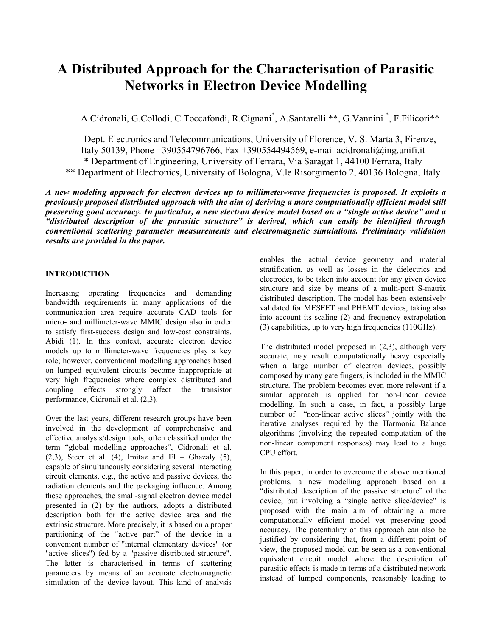# **A Distributed Approach for the Characterisation of Parasitic Networks in Electron Device Modelling**

A.Cidronali, G.Collodi, C.Toccafondi, R.Cignani\*, A.Santarelli \*\*, G.Vannini\*, F.Filicori\*\*

Dept. Electronics and Telecommunications, University of Florence, V. S. Marta 3, Firenze, Italy 50139, Phone +390554796766, Fax +390554494569, e-mail acidronali@ing.unifi.it \* Department of Engineering, University of Ferrara, Via Saragat 1, 44100 Ferrara, Italy \*\* Department of Electronics, University of Bologna, V.le Risorgimento 2, 40136 Bologna, Italy

*A new modeling approach for electron devices up to millimeter-wave frequencies is proposed. It exploits a previously proposed distributed approach with the aim of deriving a more computationally efficient model still preserving good accuracy. In particular, a new electron device model based on a "single active device" and a "distributed description of the parasitic structure" is derived, which can easily be identified through conventional scattering parameter measurements and electromagnetic simulations. Preliminary validation results are provided in the paper.* 

## **INTRODUCTION**

Increasing operating frequencies and demanding bandwidth requirements in many applications of the communication area require accurate CAD tools for micro- and millimeter-wave MMIC design also in order to satisfy first-success design and low-cost constraints, Abidi (1). In this context, accurate electron device models up to millimeter-wave frequencies play a key role; however, conventional modelling approaches based on lumped equivalent circuits become inappropriate at very high frequencies where complex distributed and coupling effects strongly affect the transistor performance, Cidronali et al. (2,3).

Over the last years, different research groups have been involved in the development of comprehensive and effective analysis/design tools, often classified under the term "global modelling approaches", Cidronali et al.  $(2,3)$ , Steer et al.  $(4)$ , Imitaz and El – Ghazaly  $(5)$ , capable of simultaneously considering several interacting circuit elements, e.g., the active and passive devices, the radiation elements and the packaging influence. Among these approaches, the small-signal electron device model presented in (2) by the authors, adopts a distributed description both for the active device area and the extrinsic structure. More precisely, it is based on a proper partitioning of the "active part" of the device in a convenient number of "internal elementary devices" (or "active slices") fed by a "passive distributed structure". The latter is characterised in terms of scattering parameters by means of an accurate electromagnetic simulation of the device layout. This kind of analysis

enables the actual device geometry and material stratification, as well as losses in the dielectrics and electrodes, to be taken into account for any given device structure and size by means of a multi-port S-matrix distributed description. The model has been extensively validated for MESFET and PHEMT devices, taking also into account its scaling (2) and frequency extrapolation (3) capabilities, up to very high frequencies (110GHz).

The distributed model proposed in (2,3), although very accurate, may result computationally heavy especially when a large number of electron devices, possibly composed by many gate fingers, is included in the MMIC structure. The problem becomes even more relevant if a similar approach is applied for non-linear device modelling. In such a case, in fact, a possibly large number of "non-linear active slices" jointly with the iterative analyses required by the Harmonic Balance algorithms (involving the repeated computation of the non-linear component responses) may lead to a huge CPU effort.

In this paper, in order to overcome the above mentioned problems, a new modelling approach based on a "distributed description of the passive structure" of the device, but involving a "single active slice/device" is proposed with the main aim of obtaining a more computationally efficient model yet preserving good accuracy. The potentiality of this approach can also be justified by considering that, from a different point of view, the proposed model can be seen as a conventional equivalent circuit model where the description of parasitic effects is made in terms of a distributed network instead of lumped components, reasonably leading to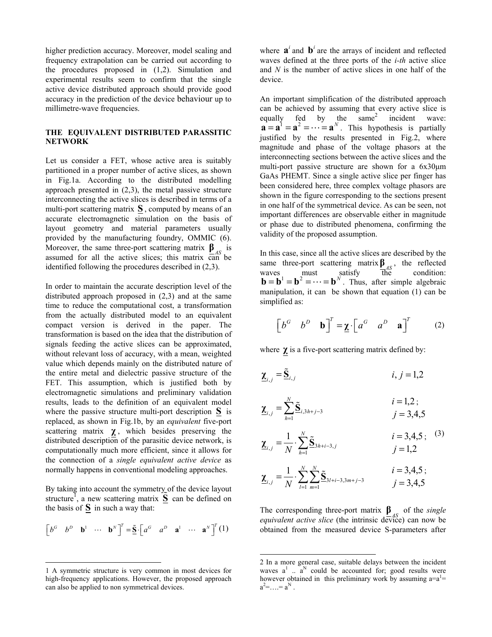higher prediction accuracy. Moreover, model scaling and frequency extrapolation can be carried out according to the procedures proposed in (1,2). Simulation and experimental results seem to confirm that the single active device distributed approach should provide good accuracy in the prediction of the device behaviour up to millimetre-wave frequencies.

### **THE EQUIVALENT DISTRIBUTED PARASSITIC NETWORK**

Let us consider a FET, whose active area is suitably partitioned in a proper number of active slices, as shown in Fig.1a. According to the distributed modelling approach presented in (2,3), the metal passive structure interconnecting the active slices is described in terms of a multi-port scattering matrix **S** , computed by means of an accurate electromagnetic simulation on the basis of layout geometry and material parameters usually provided by the manufacturing foundry, OMMIC (6). Moreover, the same three-port scattering matrix  $\mathbf{\underline{\beta}}_{AS}$  is assumed for all the active slices; this matrix  $\overline{can}$  be identified following the procedures described in (2,3).

In order to maintain the accurate description level of the distributed approach proposed in (2,3) and at the same time to reduce the computational cost, a transformation from the actually distributed model to an equivalent compact version is derived in the paper. The transformation is based on the idea that the distribution of signals feeding the active slices can be approximated, without relevant loss of accuracy, with a mean, weighted value which depends mainly on the distributed nature of the entire metal and dielectric passive structure of the FET. This assumption, which is justified both by electromagnetic simulations and preliminary validation results, leads to the definition of an equivalent model where the passive structure multi-port description **S** is replaced, as shown in Fig.1b, by an *equivalent* five-port scattering matrix  $\chi$ , which besides preserving the distributed description of the parasitic device network, is computationally much more efficient, since it allows for the connection of a *single equivalent active device* as normally happens in conventional modeling approaches.

By taking into account the symmetry of the device layout  $\mathbf{S}_1$  $\mathbf{S}_1$  and  $\mathbf{S}_2$  are scattering matrix  $\mathbf{\tilde{S}}$  can be defined on the basis of  $S$  in such a way that:

$$
\begin{bmatrix} b^G & b^D & \mathbf{b}^1 & \cdots & \mathbf{b}^N \end{bmatrix}^T = \tilde{\mathbf{S}} \cdot \begin{bmatrix} a^G & a^D & \mathbf{a}^1 & \cdots & \mathbf{a}^N \end{bmatrix}^T (1)
$$

 $\overline{a}$ 

where  $\mathbf{a}^i$  and  $\mathbf{b}^i$  are the arrays of incident and reflected waves defined at the three ports of the *i-th* active slice and *N* is the number of active slices in one half of the device.

 $\mathbf{a} = \mathbf{a}^1 = \mathbf{a}^2 = \cdots = \mathbf{a}^N$ . This hypothesis is partially An important simplification of the distributed approach can be achieved by assuming that every active slice is equallyfed by the same<sup>2</sup> incident wave: justified by the results presented in Fig.2, where magnitude and phase of the voltage phasors at the interconnecting sections between the active slices and the multi-port passive structure are shown for a 6x30µm GaAs PHEMT. Since a single active slice per finger has been considered here, three complex voltage phasors are shown in the figure corresponding to the sections present in one half of the symmetrical device. As can be seen, not important differences are observable either in magnitude or phase due to distributed phenomena, confirming the validity of the proposed assumption.

In this case, since all the active slices are described by the same three-port scattering matrix  $\beta$ <sub>*AS*</sub>, the reflected waves must satisfy the condition:  $\mathbf{b} = \mathbf{b}^1 = \mathbf{b}^2 = \cdots = \mathbf{b}^N$ . Thus, after simple algebraic manipulation, it can be shown that equation [\(1\)](#page-1-0) can be simplified as:

$$
\begin{bmatrix} b^G & b^D & \mathbf{b} \end{bmatrix}^T = \underline{\mathbf{\chi}} \cdot \begin{bmatrix} a^G & a^D & \mathbf{a} \end{bmatrix}^T \tag{2}
$$

where  $\chi$  is a five-port scattering matrix defined by:

$$
\underline{\mathbf{X}}_{i,j} = \underline{\tilde{\mathbf{S}}}_{i,j} \qquad i, j = 1, 2
$$

$$
\underline{\chi}_{i,j} = \sum_{h=1}^{N} \underline{\tilde{S}}_{i,3h+j-3} \qquad i = 1,2 ;
$$
  
 $j = 3,4,5$ 

$$
\underline{\mathbf{X}}_{i,j} = \frac{1}{N} \cdot \sum_{h=1}^{N} \underline{\tilde{\mathbf{S}}}_{3h+i-3,j} \qquad i = 3,4,5; \quad (3)
$$
  
 $j = 1,2$ 

$$
\underline{\mathbf{X}}_{i,j} = \frac{1}{N} \cdot \sum_{l=1}^{N} \sum_{m=1}^{N} \underline{\tilde{\mathbf{S}}}_{3l+i-3,3m+j-3} \qquad \begin{array}{c} i = 3,4,5 \\ j = 3,4,5 \end{array}
$$

<span id="page-1-0"></span>The corresponding three-port matrix  $\beta$ <sub>*s*</sub> of the *single equivalent active slice* (the intrinsic device) can now be obtained from the measured device S-parameters after

 $\overline{\phantom{a}}$ 

<span id="page-1-1"></span><sup>1</sup> A symmetric structure is very common in most devices for high-frequency applications. However, the proposed approach can also be applied to non symmetrical devices.

<span id="page-1-2"></span><sup>2</sup> In a more general case, suitable delays between the incident waves  $a^1$  ...  $a^N$  could be accounted for; good results were however obtained in this preliminary work by assuming  $a=a^1$  $a^2 = \ldots = a^N$ .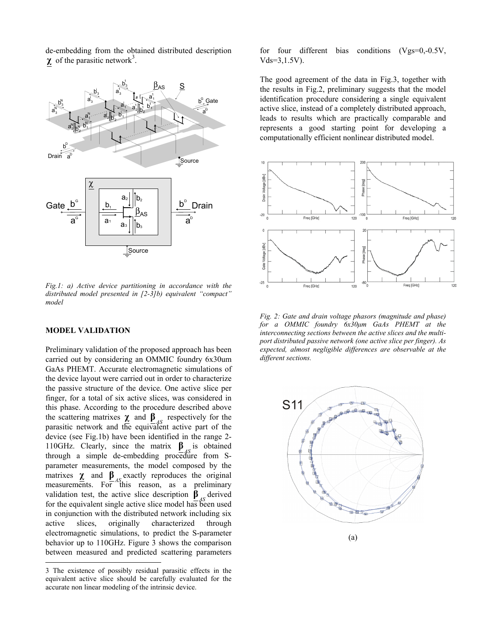de-embedding from the obtained distributed description  $\chi$  of the parasitic network<sup>3</sup>.



*Fig.1: a) Active device partitioning in accordance with the distributed model presented in [2-3]b) equivalent "compact" model* 

#### **MODEL VALIDATION**

 $\overline{a}$ 

Preliminary validation of the proposed approach has been carried out by considering an OMMIC foundry 6x30um GaAs PHEMT. Accurate electromagnetic simulations of the device layout were carried out in order to characterize the passive structure of the device. One active slice per finger, for a total of six active slices, was considered in this phase. According to the procedure described above the scattering matrixes  $\chi$  and  $\beta$ <sub>AS</sub> respectively for the parasitic network and the equivalent active part of the device (see Fig.1b) have been identified in the range 2- 110GHz. Clearly, since the matrix  $\mathbf{B}_{4S}$  is obtained **β** through a simple de-embedding procedure from Sparameter measurements, the model composed by the matrixes  $\chi$  and  $\beta$ <sub>*AS*</sub> exactly reproduces the original measurements. For this reason, as a preliminary validation test, the active slice description  $\beta_{\text{AS}}$  derived for the equivalent single active slice model has been used in conjunction with the distributed network including six active slices, originally characterized through electromagnetic simulations, to predict the S-parameter behavior up to 110GHz. Figure 3 shows the comparison between measured and predicted scattering parameters

for four different bias conditions (Vgs=0,-0.5V, Vds=3,1.5V).

The good agreement of the data in Fig.3, together with the results in Fig.2, preliminary suggests that the model identification procedure considering a single equivalent active slice, instead of a completely distributed approach, leads to results which are practically comparable and represents a good starting point for developing a computationally efficient nonlinear distributed model.



*Fig. 2: Gate and drain voltage phasors (magnitude and phase) for a OMMIC foundry 6x30µm GaAs PHEMT at the interconnecting sections between the active slices and the multiport distributed passive network (one active slice per finger). As expected, almost negligible differences are observable at the different sections.* 



<sup>3</sup> The existence of possibly residual parasitic effects in the equivalent active slice should be carefully evaluated for the accurate non linear modeling of the intrinsic device.